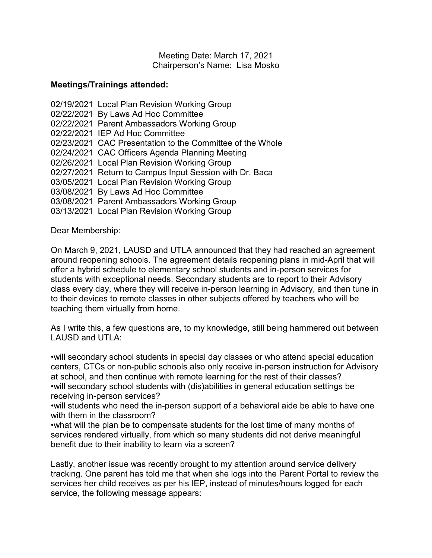Meeting Date: March 17, 2021 Chairperson's Name: Lisa Mosko

## **Meetings/Trainings attended:**

02/19/2021 Local Plan Revision Working Group 02/22/2021By Laws Ad Hoc Committee 02/22/2021 Parent Ambassadors Working Group 02/22/2021 IEP Ad Hoc Committee 02/23/2021 CAC Presentation to the Committee of the Whole 02/24/2021 CAC Officers Agenda Planning Meeting 02/26/2021 Local Plan Revision Working Group 02/27/2021 Return to Campus Input Session with Dr. Baca 03/05/2021 Local Plan Revision Working Group 03/08/2021 By Laws Ad Hoc Committee 03/08/2021 Parent Ambassadors Working Group 03/13/2021 Local Plan Revision Working Group

Dear Membership:

On March 9, 2021, LAUSD and UTLA announced that they had reached an agreement around reopening schools. The agreement details reopening plans in mid-April that will offer a hybrid schedule to elementary school students and in-person services for students with exceptional needs. Secondary students are to report to their Advisory class every day, where they will receive in-person learning in Advisory, and then tune in to their devices to remote classes in other subjects offered by teachers who will be teaching them virtually from home.

As I write this, a few questions are, to my knowledge, still being hammered out between LAUSD and UTLA:

•will secondary school students in special day classes or who attend special education centers, CTCs or non-public schools also only receive in-person instruction for Advisory at school, and then continue with remote learning for the rest of their classes? •will secondary school students with (dis)abilities in general education settings be receiving in-person services?

•will students who need the in-person support of a behavioral aide be able to have one with them in the classroom?

•what will the plan be to compensate students for the lost time of many months of services rendered virtually, from which so many students did not derive meaningful benefit due to their inability to learn via a screen?

Lastly, another issue was recently brought to my attention around service delivery tracking. One parent has told me that when she logs into the Parent Portal to review the services her child receives as per his IEP, instead of minutes/hours logged for each service, the following message appears: